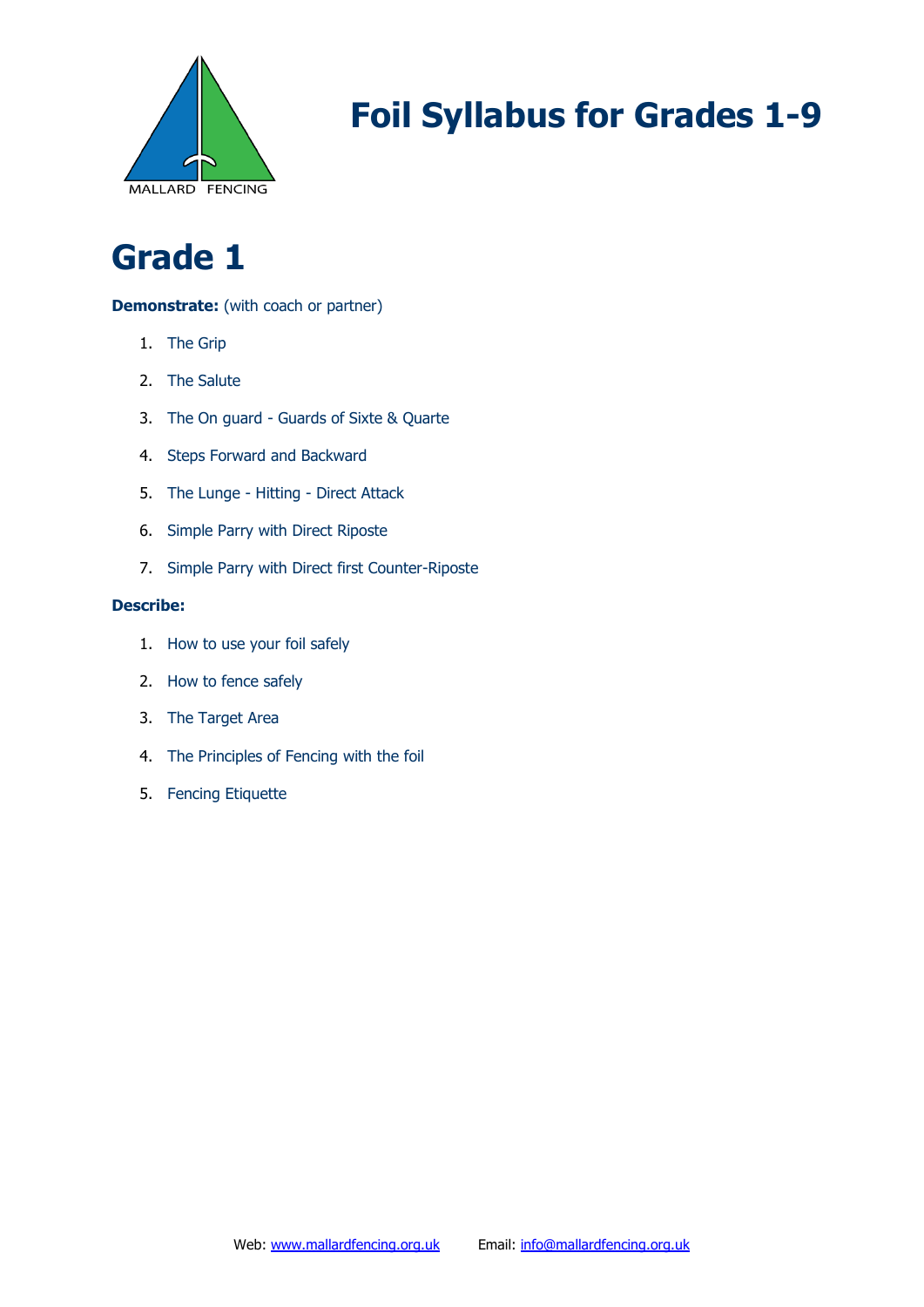

### **Grade 1**

### **Demonstrate:** (with coach or partner)

- 1. The Grip
- 2. The Salute
- 3. The On guard Guards of Sixte & Quarte
- 4. Steps Forward and Backward
- 5. The Lunge Hitting Direct Attack
- 6. Simple Parry with Direct Riposte
- 7. Simple Parry with Direct first Counter-Riposte

- 1. How to use your foil safely
- 2. How to fence safely
- 3. The Target Area
- 4. The Principles of Fencing with the foil
- 5. Fencing Etiquette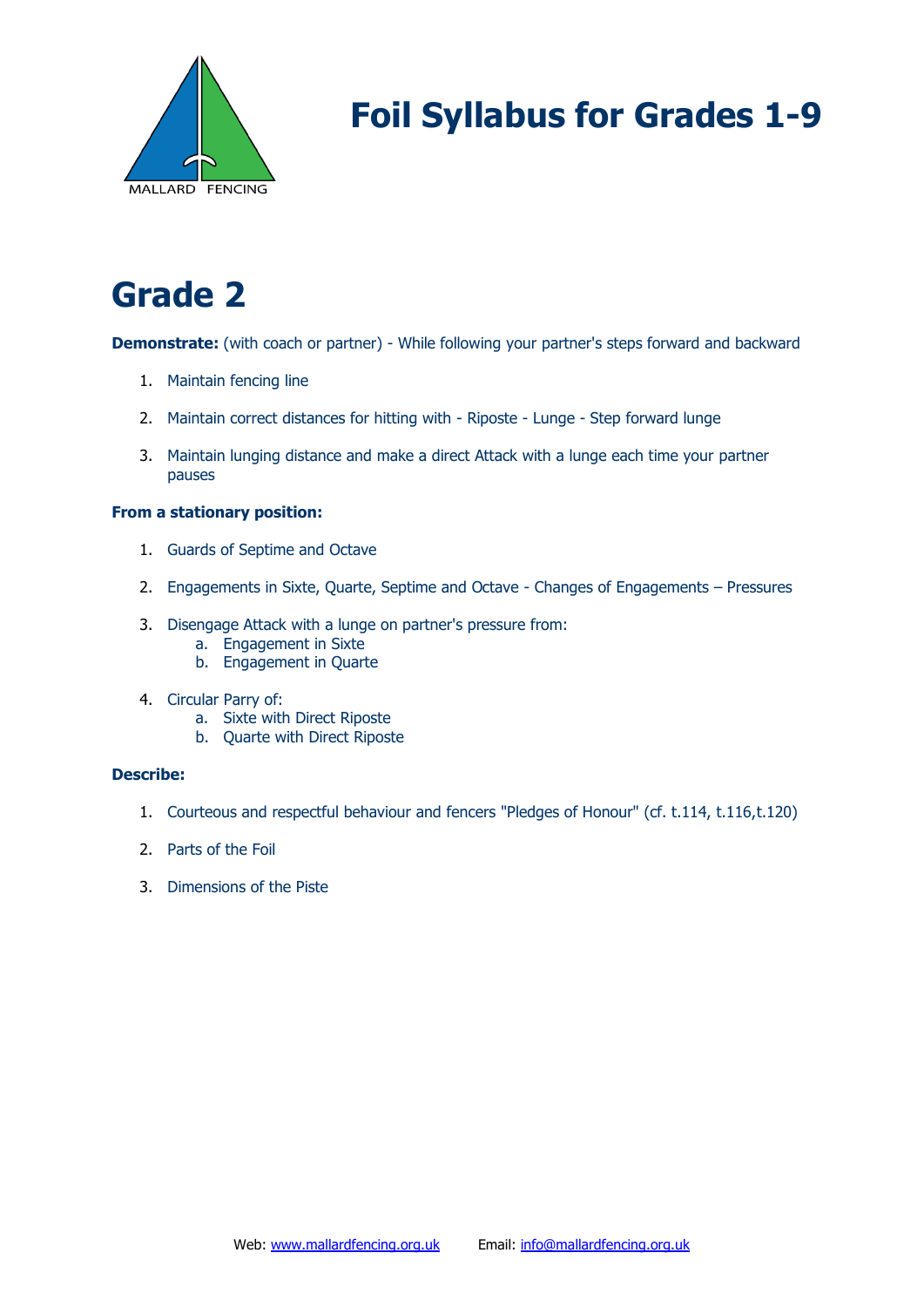

# **Grade 2**

**Demonstrate:** (with coach or partner) - While following your partner's steps forward and backward

- 1. Maintain fencing line
- 2. Maintain correct distances for hitting with Riposte Lunge Step forward lunge
- 3. Maintain lunging distance and make a direct Attack with a lunge each time your partner pauses

#### **From a stationary position:**

- 1. Guards of Septime and Octave
- 2. Engagements in Sixte, Quarte, Septime and Octave Changes of Engagements Pressures
- 3. Disengage Attack with a lunge on partner's pressure from:
	- a. Engagement in Sixte
	- b. Engagement in Quarte
- 4. Circular Parry of:
	- a. Sixte with Direct Riposte
	- b. Quarte with Direct Riposte

- 1. Courteous and respectful behaviour and fencers "Pledges of Honour" (cf. t.114, t.116,t.120)
- 2. Parts of the Foil
- 3. Dimensions of the Piste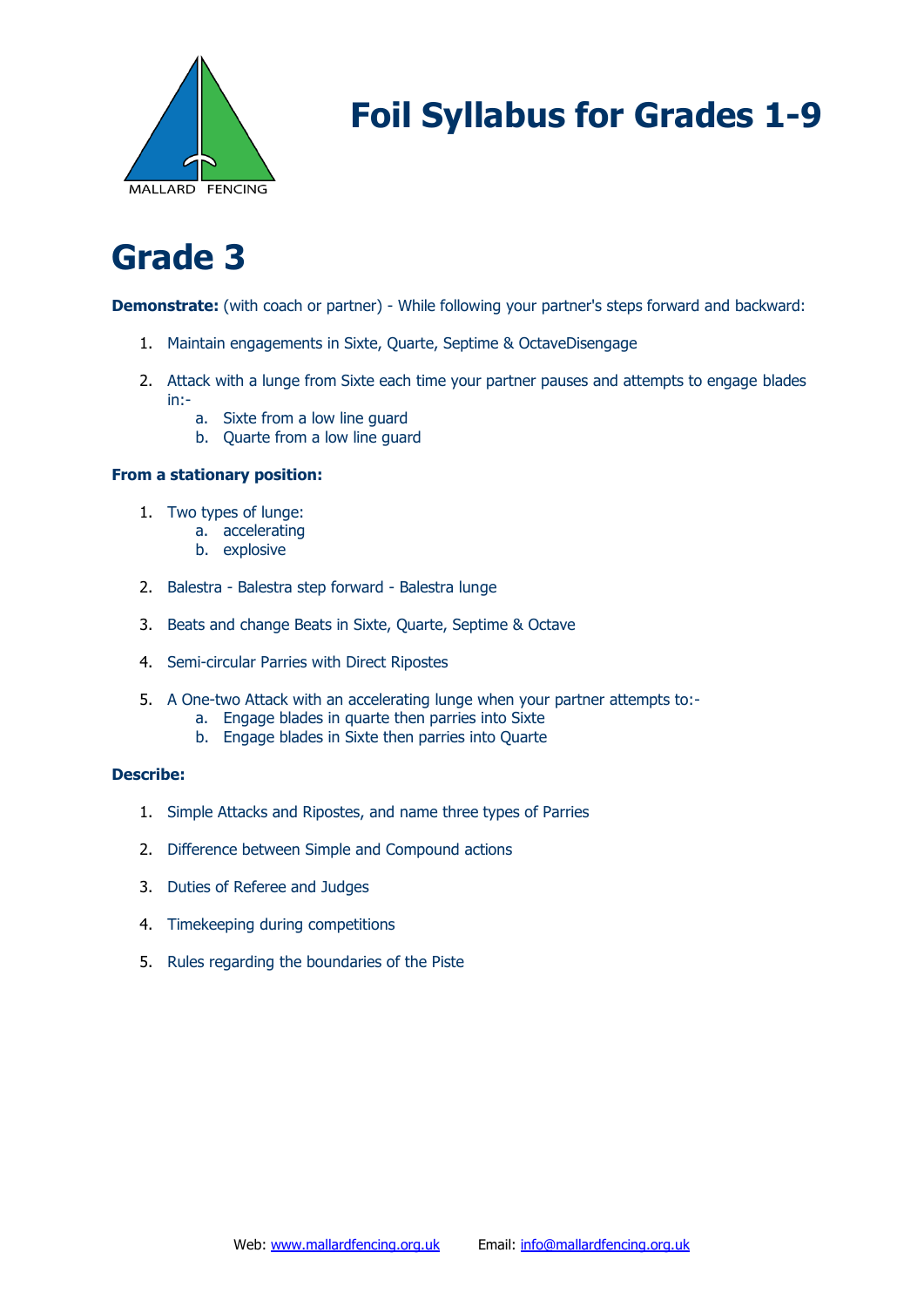

### **Grade 3**

**Demonstrate:** (with coach or partner) - While following your partner's steps forward and backward:

- 1. Maintain engagements in Sixte, Quarte, Septime & OctaveDisengage
- 2. Attack with a lunge from Sixte each time your partner pauses and attempts to engage blades in:
	- a. Sixte from a low line guard
	- b. Quarte from a low line guard

### **From a stationary position:**

- 1. Two types of lunge:
	- a. accelerating
	- b. explosive
- 2. Balestra Balestra step forward Balestra lunge
- 3. Beats and change Beats in Sixte, Quarte, Septime & Octave
- 4. Semi-circular Parries with Direct Ripostes
- 5. A One-two Attack with an accelerating lunge when your partner attempts to:
	- a. Engage blades in quarte then parries into Sixte
	- b. Engage blades in Sixte then parries into Quarte

- 1. Simple Attacks and Ripostes, and name three types of Parries
- 2. Difference between Simple and Compound actions
- 3. Duties of Referee and Judges
- 4. Timekeeping during competitions
- 5. Rules regarding the boundaries of the Piste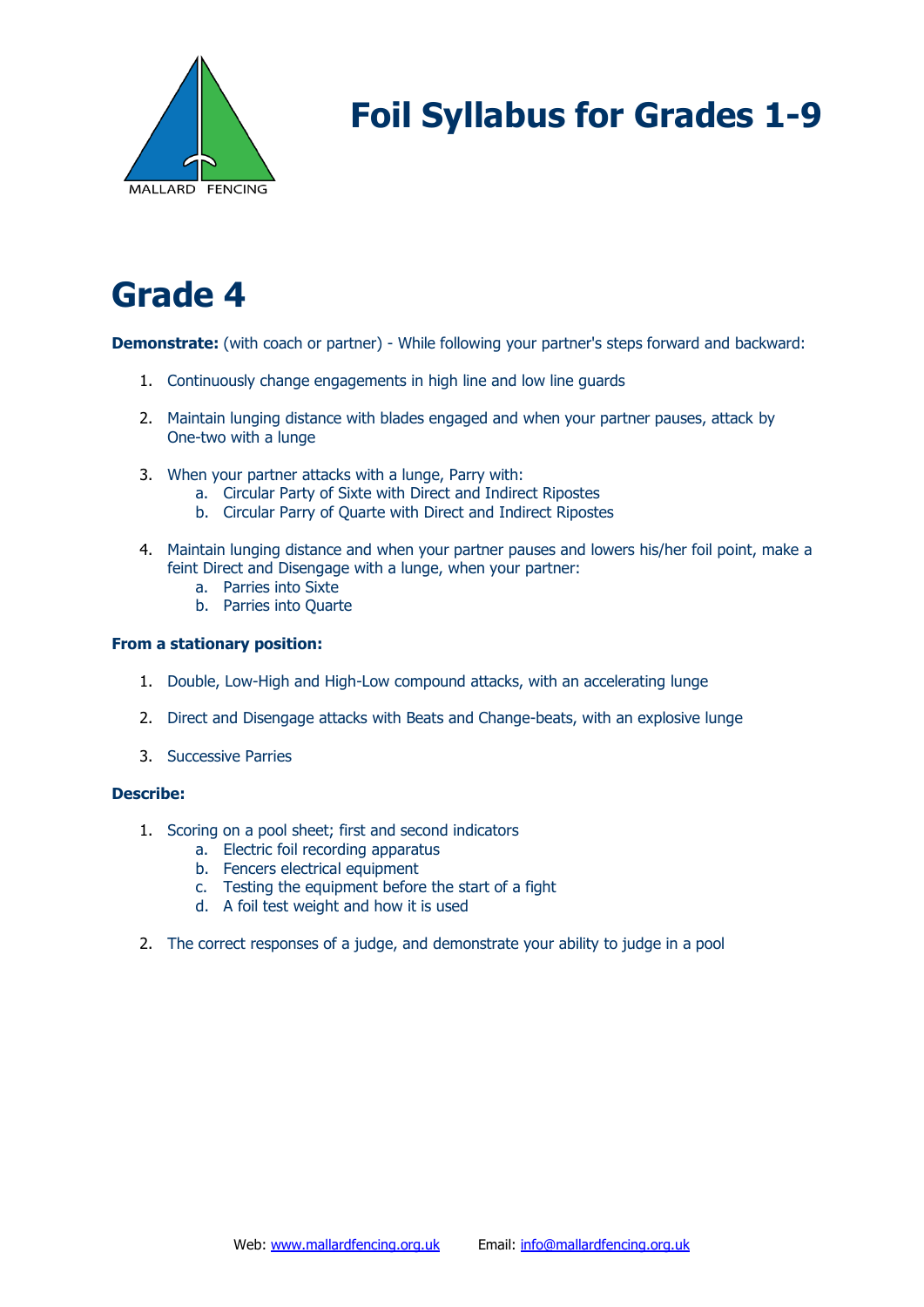

## **Grade 4**

**Demonstrate:** (with coach or partner) - While following your partner's steps forward and backward:

- 1. Continuously change engagements in high line and low line guards
- 2. Maintain lunging distance with blades engaged and when your partner pauses, attack by One-two with a lunge
- 3. When your partner attacks with a lunge, Parry with:
	- a. Circular Party of Sixte with Direct and Indirect Ripostes
	- b. Circular Parry of Quarte with Direct and Indirect Ripostes
- 4. Maintain lunging distance and when your partner pauses and lowers his/her foil point, make a feint Direct and Disengage with a lunge, when your partner:
	- a. Parries into Sixte
	- b. Parries into Quarte

#### **From a stationary position:**

- 1. Double, Low-High and High-Low compound attacks, with an accelerating lunge
- 2. Direct and Disengage attacks with Beats and Change-beats, with an explosive lunge
- 3. Successive Parries

- 1. Scoring on a pool sheet; first and second indicators
	- a. Electric foil recording apparatus
	- b. Fencers electrical equipment
	- c. Testing the equipment before the start of a fight
	- d. A foil test weight and how it is used
- 2. The correct responses of a judge, and demonstrate your ability to judge in a pool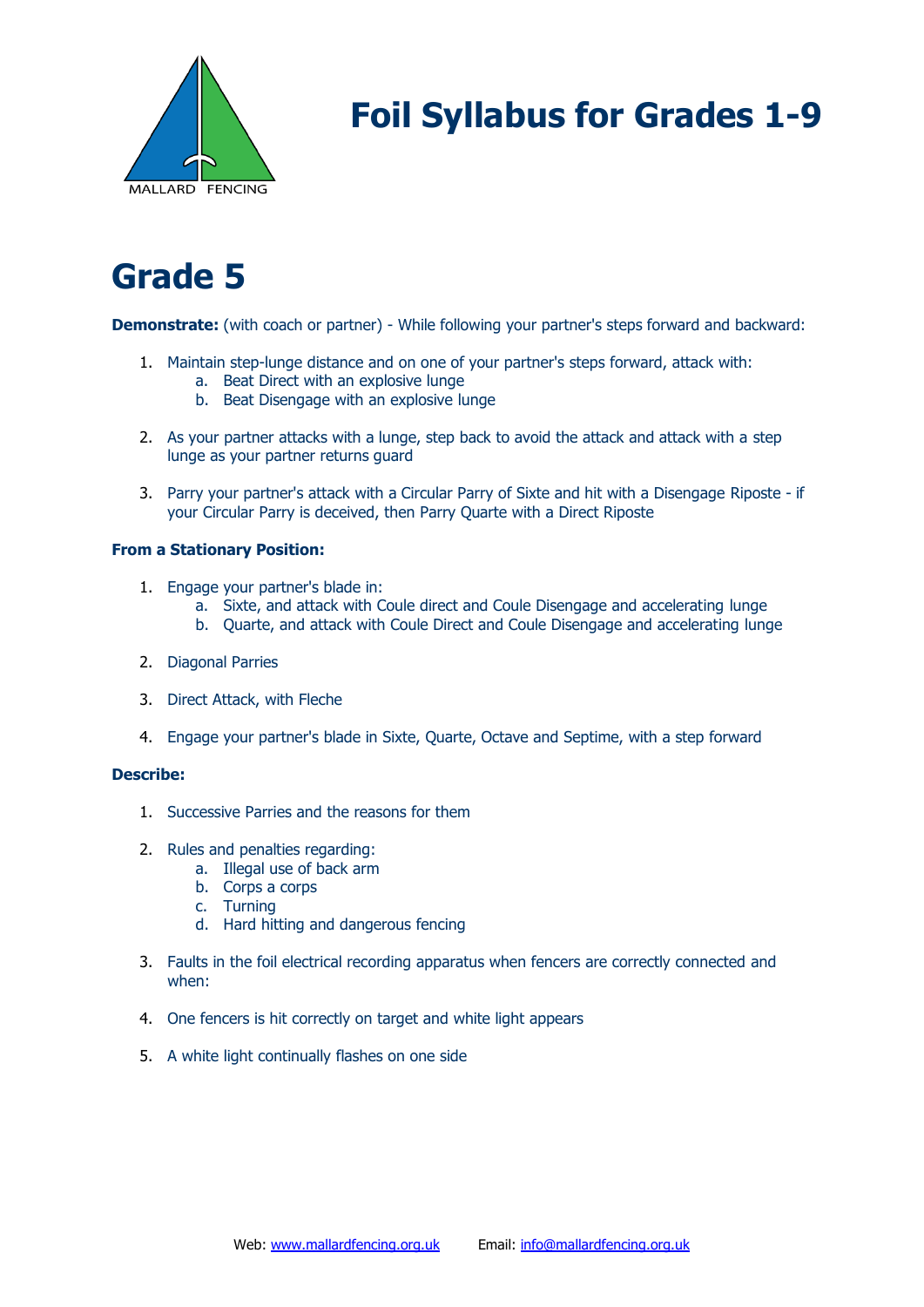

# **Grade 5**

**Demonstrate:** (with coach or partner) - While following your partner's steps forward and backward:

- 1. Maintain step-lunge distance and on one of your partner's steps forward, attack with:
	- a. Beat Direct with an explosive lunge
	- b. Beat Disengage with an explosive lunge
- 2. As your partner attacks with a lunge, step back to avoid the attack and attack with a step lunge as your partner returns guard
- 3. Parry your partner's attack with a Circular Parry of Sixte and hit with a Disengage Riposte if your Circular Parry is deceived, then Parry Quarte with a Direct Riposte

#### **From a Stationary Position:**

- 1. Engage your partner's blade in:
	- a. Sixte, and attack with Coule direct and Coule Disengage and accelerating lunge
	- b. Quarte, and attack with Coule Direct and Coule Disengage and accelerating lunge
- 2. Diagonal Parries
- 3. Direct Attack, with Fleche
- 4. Engage your partner's blade in Sixte, Quarte, Octave and Septime, with a step forward

- 1. Successive Parries and the reasons for them
- 2. Rules and penalties regarding:
	- a. Illegal use of back arm
	- b. Corps a corps
	- c. Turning
	- d. Hard hitting and dangerous fencing
- 3. Faults in the foil electrical recording apparatus when fencers are correctly connected and when:
- 4. One fencers is hit correctly on target and white light appears
- 5. A white light continually flashes on one side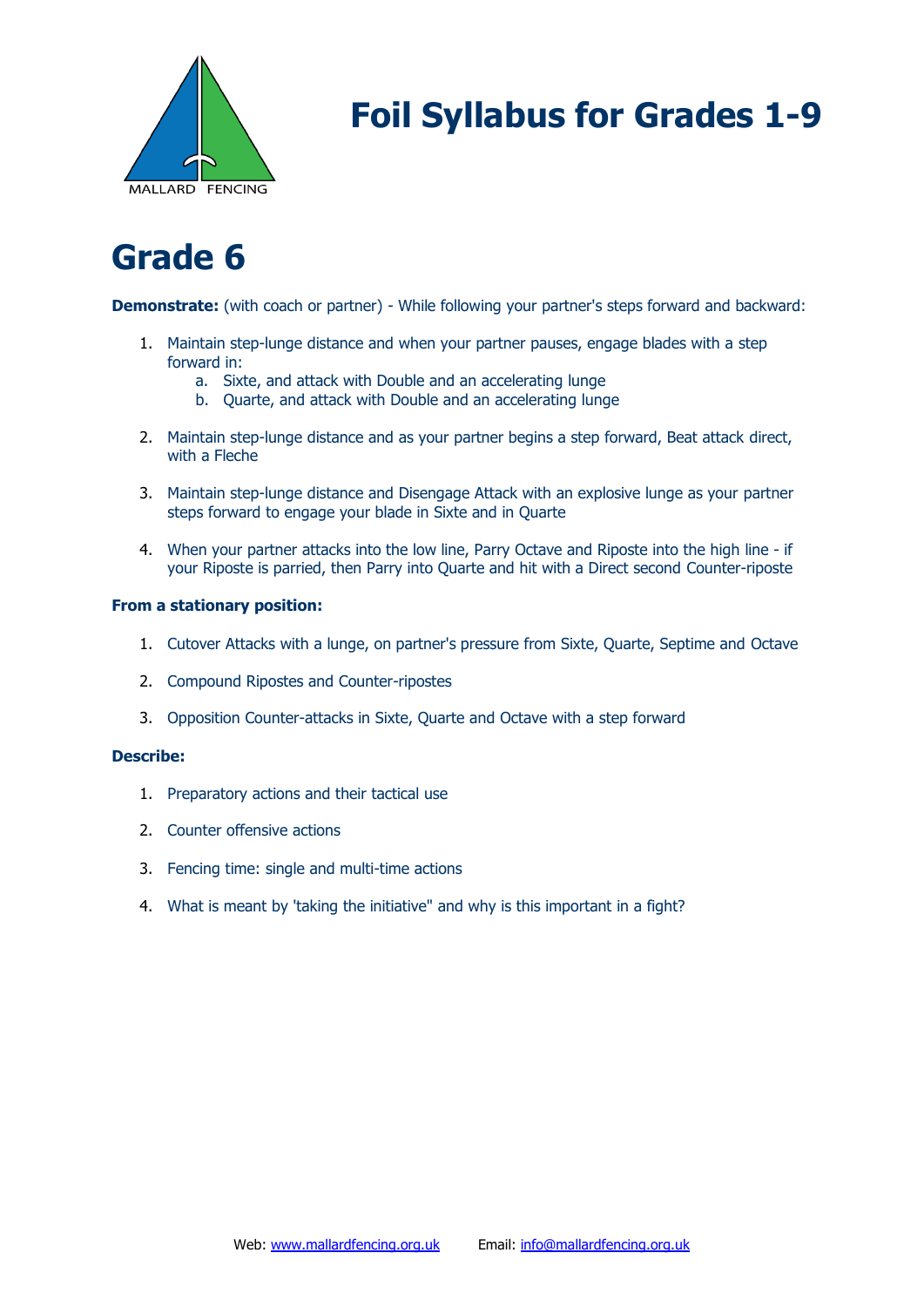

### **Grade 6**

**Demonstrate:** (with coach or partner) - While following your partner's steps forward and backward:

- 1. Maintain step-lunge distance and when your partner pauses, engage blades with a step forward in:
	- a. Sixte, and attack with Double and an accelerating lunge
	- b. Quarte, and attack with Double and an accelerating lunge
- 2. Maintain step-lunge distance and as your partner begins a step forward, Beat attack direct, with a Fleche
- 3. Maintain step-lunge distance and Disengage Attack with an explosive lunge as your partner steps forward to engage your blade in Sixte and in Quarte
- 4. When your partner attacks into the low line, Parry Octave and Riposte into the high line if your Riposte is parried, then Parry into Quarte and hit with a Direct second Counter-riposte

#### **From a stationary position:**

- 1. Cutover Attacks with a lunge, on partner's pressure from Sixte, Quarte, Septime and Octave
- 2. Compound Ripostes and Counter-ripostes
- 3. Opposition Counter-attacks in Sixte, Quarte and Octave with a step forward

- 1. Preparatory actions and their tactical use
- 2. Counter offensive actions
- 3. Fencing time: single and multi-time actions
- 4. What is meant by 'taking the initiative" and why is this important in a fight?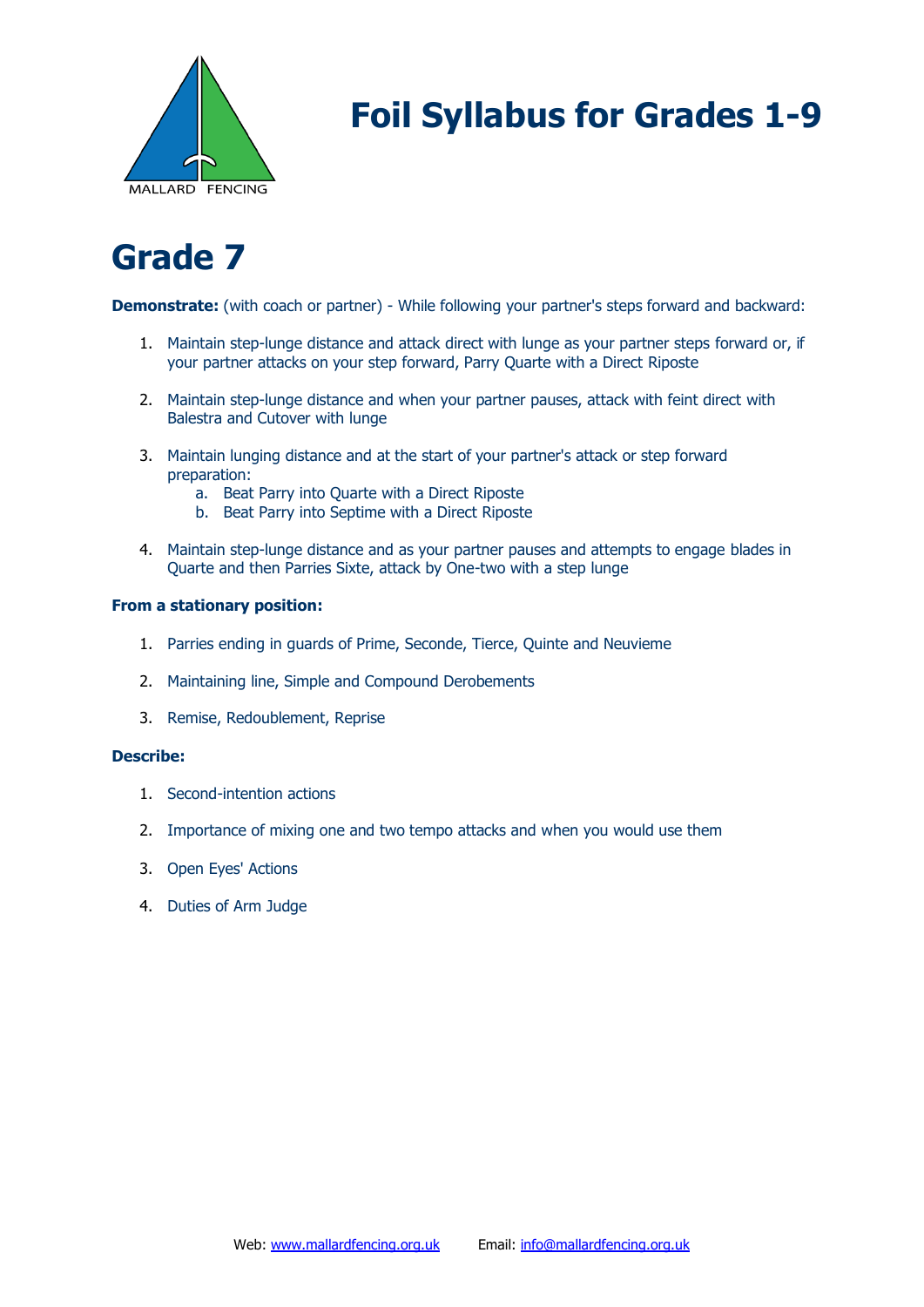

### **Grade 7**

**Demonstrate:** (with coach or partner) - While following your partner's steps forward and backward:

- 1. Maintain step-lunge distance and attack direct with lunge as your partner steps forward or, if your partner attacks on your step forward, Parry Quarte with a Direct Riposte
- 2. Maintain step-lunge distance and when your partner pauses, attack with feint direct with Balestra and Cutover with lunge
- 3. Maintain lunging distance and at the start of your partner's attack or step forward preparation:
	- a. Beat Parry into Quarte with a Direct Riposte
	- b. Beat Parry into Septime with a Direct Riposte
- 4. Maintain step-lunge distance and as your partner pauses and attempts to engage blades in Quarte and then Parries Sixte, attack by One-two with a step lunge

#### **From a stationary position:**

- 1. Parries ending in guards of Prime, Seconde, Tierce, Quinte and Neuvieme
- 2. Maintaining line, Simple and Compound Derobements
- 3. Remise, Redoublement, Reprise

- 1. Second-intention actions
- 2. Importance of mixing one and two tempo attacks and when you would use them
- 3. Open Eyes' Actions
- 4. Duties of Arm Judge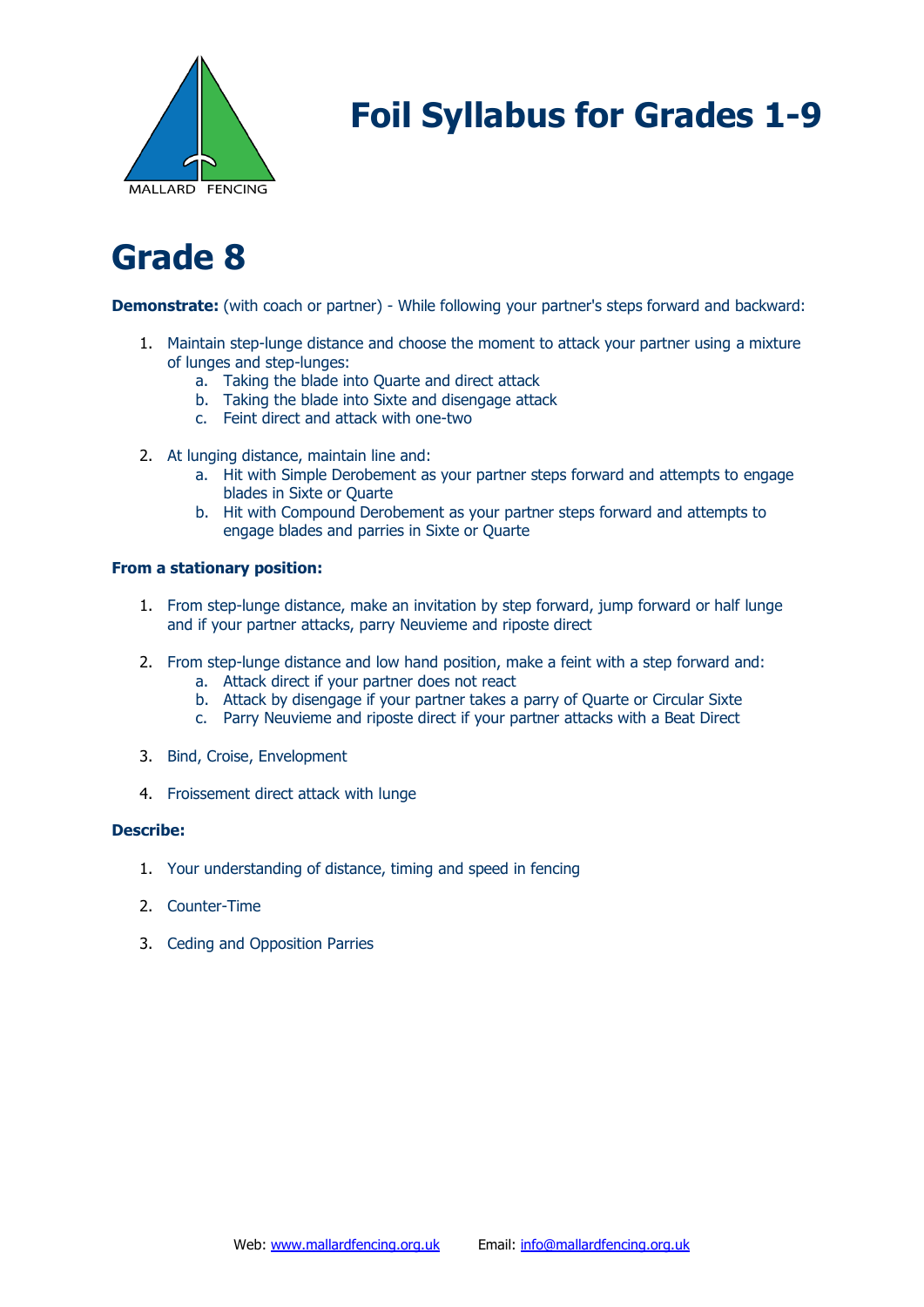

### **Grade 8**

**Demonstrate:** (with coach or partner) - While following your partner's steps forward and backward:

- 1. Maintain step-lunge distance and choose the moment to attack your partner using a mixture of lunges and step-lunges:
	- a. Taking the blade into Quarte and direct attack
	- b. Taking the blade into Sixte and disengage attack
	- c. Feint direct and attack with one-two
- 2. At lunging distance, maintain line and:
	- a. Hit with Simple Derobement as your partner steps forward and attempts to engage blades in Sixte or Quarte
	- b. Hit with Compound Derobement as your partner steps forward and attempts to engage blades and parries in Sixte or Quarte

#### **From a stationary position:**

- 1. From step-lunge distance, make an invitation by step forward, jump forward or half lunge and if your partner attacks, parry Neuvieme and riposte direct
- 2. From step-lunge distance and low hand position, make a feint with a step forward and:
	- a. Attack direct if your partner does not react
	- b. Attack by disengage if your partner takes a parry of Quarte or Circular Sixte
	- c. Parry Neuvieme and riposte direct if your partner attacks with a Beat Direct
- 3. Bind, Croise, Envelopment
- 4. Froissement direct attack with lunge

- 1. Your understanding of distance, timing and speed in fencing
- 2. Counter-Time
- 3. Ceding and Opposition Parries